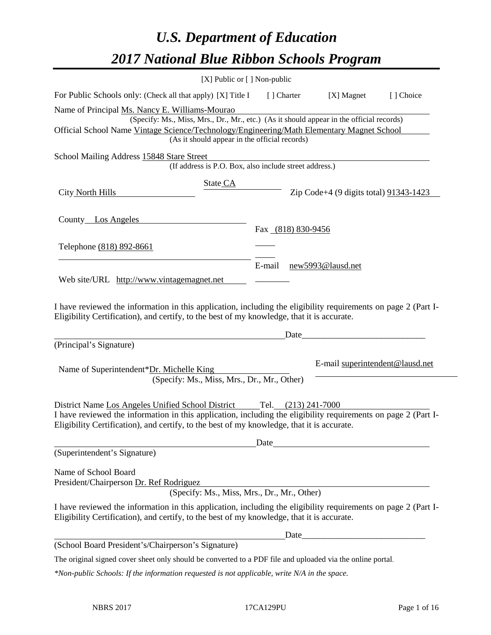# *U.S. Department of Education 2017 National Blue Ribbon Schools Program*

| [X] Public or [] Non-public                                                                                                                                                                                                                                       |                         |                     |                                                                                                                       |                                 |
|-------------------------------------------------------------------------------------------------------------------------------------------------------------------------------------------------------------------------------------------------------------------|-------------------------|---------------------|-----------------------------------------------------------------------------------------------------------------------|---------------------------------|
| For Public Schools only: (Check all that apply) [X] Title I                                                                                                                                                                                                       | [] Charter              |                     | [X] Magnet                                                                                                            | [] Choice                       |
| Name of Principal Ms. Nancy E. Williams-Mourao<br>(Specify: Ms., Miss, Mrs., Dr., Mr., etc.) (As it should appear in the official records)                                                                                                                        |                         |                     |                                                                                                                       |                                 |
| Official School Name Vintage Science/Technology/Engineering/Math Elementary Magnet School<br>(As it should appear in the official records)                                                                                                                        |                         |                     |                                                                                                                       |                                 |
| School Mailing Address 15848 Stare Street<br>(If address is P.O. Box, also include street address.)                                                                                                                                                               |                         |                     |                                                                                                                       |                                 |
| State CA<br>City North Hills                                                                                                                                                                                                                                      |                         |                     | Zip Code+4 (9 digits total) 91343-1423                                                                                |                                 |
| County Los Angeles                                                                                                                                                                                                                                                |                         | Fax (818) 830-9456  |                                                                                                                       |                                 |
| Telephone (818) 892-8661                                                                                                                                                                                                                                          |                         |                     |                                                                                                                       |                                 |
|                                                                                                                                                                                                                                                                   | E-mail                  |                     | new5993@lausd.net                                                                                                     |                                 |
| Web site/URL http://www.vintagemagnet.net                                                                                                                                                                                                                         |                         |                     |                                                                                                                       |                                 |
| I have reviewed the information in this application, including the eligibility requirements on page 2 (Part I-<br>Eligibility Certification), and certify, to the best of my knowledge, that it is accurate.                                                      |                         |                     |                                                                                                                       |                                 |
|                                                                                                                                                                                                                                                                   |                         | Date                |                                                                                                                       |                                 |
| (Principal's Signature)                                                                                                                                                                                                                                           |                         |                     |                                                                                                                       |                                 |
| Name of Superintendent*Dr. Michelle King<br>(Specify: Ms., Miss, Mrs., Dr., Mr., Other)                                                                                                                                                                           |                         |                     |                                                                                                                       | E-mail superintendent@lausd.net |
| District Name Los Angeles Unified School District<br>I have reviewed the information in this application, including the eligibility requirements on page 2 (Part I-<br>Eligibility Certification), and certify, to the best of my knowledge, that it is accurate. |                         | Tel. (213) 241-7000 |                                                                                                                       |                                 |
|                                                                                                                                                                                                                                                                   | $Date$ <sub>_____</sub> |                     |                                                                                                                       |                                 |
| (Superintendent's Signature)                                                                                                                                                                                                                                      |                         |                     |                                                                                                                       |                                 |
| Name of School Board<br>President/Chairperson Dr. Ref Rodriguez<br>(Specify: Ms., Miss, Mrs., Dr., Mr., Other)                                                                                                                                                    |                         |                     |                                                                                                                       |                                 |
| I have reviewed the information in this application, including the eligibility requirements on page 2 (Part I-<br>Eligibility Certification), and certify, to the best of my knowledge, that it is accurate.                                                      |                         |                     |                                                                                                                       |                                 |
|                                                                                                                                                                                                                                                                   |                         | Date                | <u> 2008 - Jan James James James James James James James James James James James James James James James James Ja</u> |                                 |
| (School Board President's/Chairperson's Signature)                                                                                                                                                                                                                |                         |                     |                                                                                                                       |                                 |
| The original signed cover sheet only should be converted to a PDF file and uploaded via the online portal.                                                                                                                                                        |                         |                     |                                                                                                                       |                                 |
| $*$ Non-public Schools: If the information requested is not applicable, write N/A in the space.                                                                                                                                                                   |                         |                     |                                                                                                                       |                                 |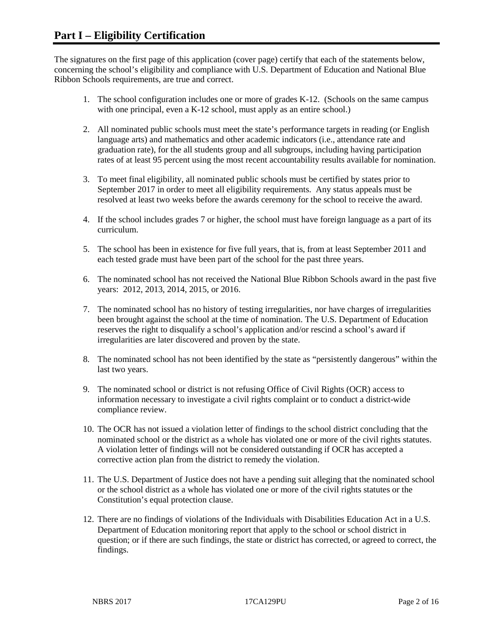The signatures on the first page of this application (cover page) certify that each of the statements below, concerning the school's eligibility and compliance with U.S. Department of Education and National Blue Ribbon Schools requirements, are true and correct.

- 1. The school configuration includes one or more of grades K-12. (Schools on the same campus with one principal, even a K-12 school, must apply as an entire school.)
- 2. All nominated public schools must meet the state's performance targets in reading (or English language arts) and mathematics and other academic indicators (i.e., attendance rate and graduation rate), for the all students group and all subgroups, including having participation rates of at least 95 percent using the most recent accountability results available for nomination.
- 3. To meet final eligibility, all nominated public schools must be certified by states prior to September 2017 in order to meet all eligibility requirements. Any status appeals must be resolved at least two weeks before the awards ceremony for the school to receive the award.
- 4. If the school includes grades 7 or higher, the school must have foreign language as a part of its curriculum.
- 5. The school has been in existence for five full years, that is, from at least September 2011 and each tested grade must have been part of the school for the past three years.
- 6. The nominated school has not received the National Blue Ribbon Schools award in the past five years: 2012, 2013, 2014, 2015, or 2016.
- 7. The nominated school has no history of testing irregularities, nor have charges of irregularities been brought against the school at the time of nomination. The U.S. Department of Education reserves the right to disqualify a school's application and/or rescind a school's award if irregularities are later discovered and proven by the state.
- 8. The nominated school has not been identified by the state as "persistently dangerous" within the last two years.
- 9. The nominated school or district is not refusing Office of Civil Rights (OCR) access to information necessary to investigate a civil rights complaint or to conduct a district-wide compliance review.
- 10. The OCR has not issued a violation letter of findings to the school district concluding that the nominated school or the district as a whole has violated one or more of the civil rights statutes. A violation letter of findings will not be considered outstanding if OCR has accepted a corrective action plan from the district to remedy the violation.
- 11. The U.S. Department of Justice does not have a pending suit alleging that the nominated school or the school district as a whole has violated one or more of the civil rights statutes or the Constitution's equal protection clause.
- 12. There are no findings of violations of the Individuals with Disabilities Education Act in a U.S. Department of Education monitoring report that apply to the school or school district in question; or if there are such findings, the state or district has corrected, or agreed to correct, the findings.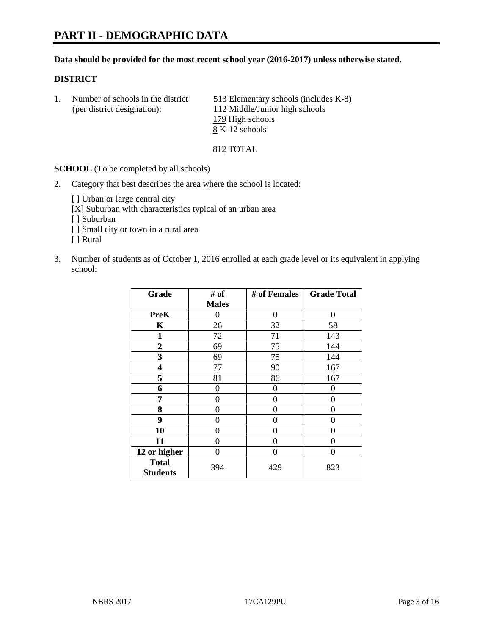# **PART II - DEMOGRAPHIC DATA**

#### **Data should be provided for the most recent school year (2016-2017) unless otherwise stated.**

#### **DISTRICT**

1. Number of schools in the district 513 Elementary schools (includes K-8) (per district designation): 112 Middle/Junior high schools 179 High schools 8 K-12 schools

#### 812 TOTAL

**SCHOOL** (To be completed by all schools)

2. Category that best describes the area where the school is located:

[] Urban or large central city

[X] Suburban with characteristics typical of an urban area

[ ] Suburban

- [ ] Small city or town in a rural area
- [ ] Rural
- 3. Number of students as of October 1, 2016 enrolled at each grade level or its equivalent in applying school:

| Grade                           | # of         | # of Females | <b>Grade Total</b> |  |
|---------------------------------|--------------|--------------|--------------------|--|
|                                 | <b>Males</b> |              |                    |  |
| <b>PreK</b>                     | 0            | 0            | 0                  |  |
| $\mathbf K$                     | 26           | 32           | 58                 |  |
| 1                               | 72           | 71           | 143                |  |
| $\overline{2}$                  | 69           | 75           | 144                |  |
| 3                               | 69           | 75           | 144                |  |
| 4                               | 77           | 90           | 167                |  |
| 5                               | 81           | 86           | 167                |  |
| 6                               | 0            | 0            | 0                  |  |
| 7                               | 0            | 0            | 0                  |  |
| 8                               | $\theta$     | $\theta$     | 0                  |  |
| 9                               | 0            | 0            | 0                  |  |
| 10                              | 0            | 0            | 0                  |  |
| 11                              | 0            | 0            | 0                  |  |
| 12 or higher                    | 0            | 0            | 0                  |  |
| <b>Total</b><br><b>Students</b> | 394          | 429          | 823                |  |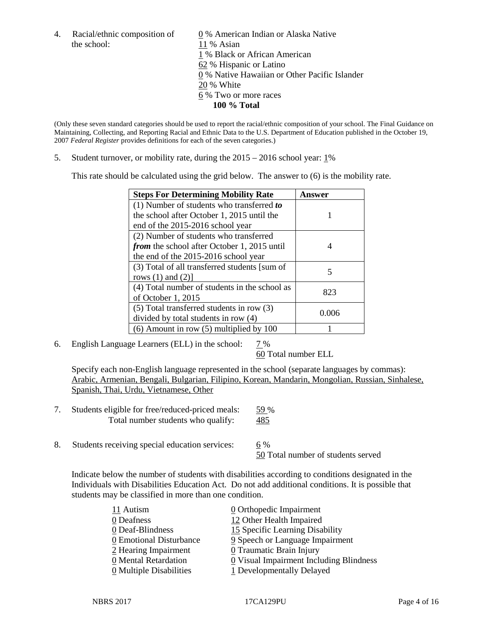the school: 11 % Asian

4. Racial/ethnic composition of  $\qquad \qquad \underline{0}$  % American Indian or Alaska Native 1 % Black or African American 62 % Hispanic or Latino 0 % Native Hawaiian or Other Pacific Islander 20 % White 6 % Two or more races **100 % Total**

(Only these seven standard categories should be used to report the racial/ethnic composition of your school. The Final Guidance on Maintaining, Collecting, and Reporting Racial and Ethnic Data to the U.S. Department of Education published in the October 19, 2007 *Federal Register* provides definitions for each of the seven categories.)

5. Student turnover, or mobility rate, during the 2015 – 2016 school year: 1%

This rate should be calculated using the grid below. The answer to (6) is the mobility rate.

| <b>Steps For Determining Mobility Rate</b>         | Answer |  |
|----------------------------------------------------|--------|--|
| (1) Number of students who transferred to          |        |  |
| the school after October 1, 2015 until the         |        |  |
| end of the 2015-2016 school year                   |        |  |
| (2) Number of students who transferred             |        |  |
| <i>from</i> the school after October 1, 2015 until |        |  |
| the end of the 2015-2016 school year               |        |  |
| (3) Total of all transferred students [sum of      | 5      |  |
| rows $(1)$ and $(2)$ ]                             |        |  |
| (4) Total number of students in the school as      | 823    |  |
| of October 1, 2015                                 |        |  |
| $(5)$ Total transferred students in row $(3)$      | 0.006  |  |
| divided by total students in row (4)               |        |  |
| $(6)$ Amount in row $(5)$ multiplied by 100        |        |  |

6. English Language Learners (ELL) in the school:  $7\%$ 

60 Total number ELL

Specify each non-English language represented in the school (separate languages by commas): Arabic, Armenian, Bengali, Bulgarian, Filipino, Korean, Mandarin, Mongolian, Russian, Sinhalese, Spanish, Thai, Urdu, Vietnamese, Other

- 7. Students eligible for free/reduced-priced meals: 59 % Total number students who qualify: 485
- 8. Students receiving special education services: 6 %

50 Total number of students served

Indicate below the number of students with disabilities according to conditions designated in the Individuals with Disabilities Education Act. Do not add additional conditions. It is possible that students may be classified in more than one condition.

| 11 Autism                             | 0 Orthopedic Impairment                   |
|---------------------------------------|-------------------------------------------|
| 0 Deafness                            | 12 Other Health Impaired                  |
| 0 Deaf-Blindness                      | 15 Specific Learning Disability           |
| 0 Emotional Disturbance               | 9 Speech or Language Impairment           |
| 2 Hearing Impairment                  | 0 Traumatic Brain Injury                  |
| 0 Mental Retardation                  | $Q$ Visual Impairment Including Blindness |
| $\underline{0}$ Multiple Disabilities | 1 Developmentally Delayed                 |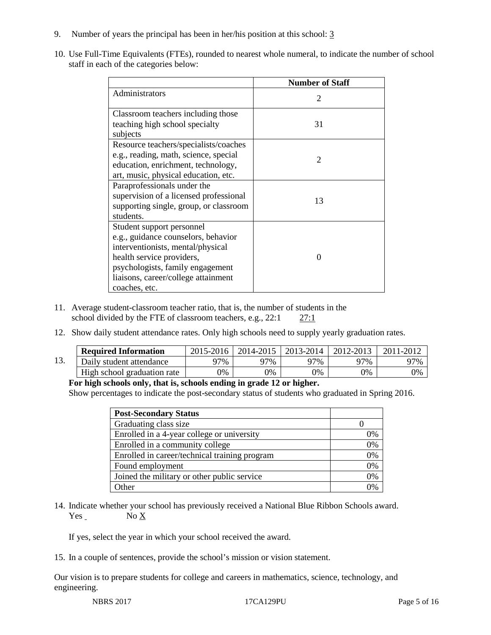- 9. Number of years the principal has been in her/his position at this school: 3
- 10. Use Full-Time Equivalents (FTEs), rounded to nearest whole numeral, to indicate the number of school staff in each of the categories below:

|                                        | <b>Number of Staff</b>      |
|----------------------------------------|-----------------------------|
| Administrators                         | $\mathcal{D}_{\mathcal{L}}$ |
| Classroom teachers including those     |                             |
| teaching high school specialty         | 31                          |
| subjects                               |                             |
| Resource teachers/specialists/coaches  |                             |
| e.g., reading, math, science, special  | 2                           |
| education, enrichment, technology,     |                             |
| art, music, physical education, etc.   |                             |
| Paraprofessionals under the            |                             |
| supervision of a licensed professional | 13                          |
| supporting single, group, or classroom |                             |
| students.                              |                             |
| Student support personnel              |                             |
| e.g., guidance counselors, behavior    |                             |
| interventionists, mental/physical      |                             |
| health service providers,              | 0                           |
| psychologists, family engagement       |                             |
| liaisons, career/college attainment    |                             |
| coaches, etc.                          |                             |

- 11. Average student-classroom teacher ratio, that is, the number of students in the school divided by the FTE of classroom teachers, e.g., 22:1 27:1
- 12. Show daily student attendance rates. Only high schools need to supply yearly graduation rates.

|     | <b>Required Information</b> | 2015-2016     | 2014-2015 | 2013-2014 | 2012-2013 |     |
|-----|-----------------------------|---------------|-----------|-----------|-----------|-----|
| 13. | Daily student attendance    | 97%           | 97%       | 97%       | 97%       | 97% |
|     | High school graduation rate | $\frac{1}{2}$ | 0%        | 0%        | 0%        | 0%  |

#### **For high schools only, that is, schools ending in grade 12 or higher.**

Show percentages to indicate the post-secondary status of students who graduated in Spring 2016.

| <b>Post-Secondary Status</b>                  |    |
|-----------------------------------------------|----|
| Graduating class size                         |    |
| Enrolled in a 4-year college or university    | 0% |
| Enrolled in a community college               | 0% |
| Enrolled in career/technical training program | 0% |
| Found employment                              | 0% |
| Joined the military or other public service   | 0% |
| Other                                         | በ% |

14. Indicate whether your school has previously received a National Blue Ribbon Schools award. Yes No X

If yes, select the year in which your school received the award.

15. In a couple of sentences, provide the school's mission or vision statement.

Our vision is to prepare students for college and careers in mathematics, science, technology, and engineering.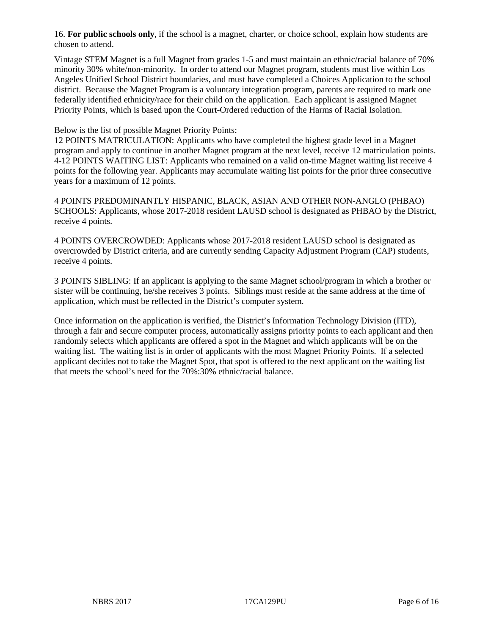16. **For public schools only**, if the school is a magnet, charter, or choice school, explain how students are chosen to attend.

Vintage STEM Magnet is a full Magnet from grades 1-5 and must maintain an ethnic/racial balance of 70% minority 30% white/non-minority. In order to attend our Magnet program, students must live within Los Angeles Unified School District boundaries, and must have completed a Choices Application to the school district. Because the Magnet Program is a voluntary integration program, parents are required to mark one federally identified ethnicity/race for their child on the application. Each applicant is assigned Magnet Priority Points, which is based upon the Court-Ordered reduction of the Harms of Racial Isolation.

#### Below is the list of possible Magnet Priority Points:

12 POINTS MATRICULATION: Applicants who have completed the highest grade level in a Magnet program and apply to continue in another Magnet program at the next level, receive 12 matriculation points. 4-12 POINTS WAITING LIST: Applicants who remained on a valid on-time Magnet waiting list receive 4 points for the following year. Applicants may accumulate waiting list points for the prior three consecutive years for a maximum of 12 points.

4 POINTS PREDOMINANTLY HISPANIC, BLACK, ASIAN AND OTHER NON-ANGLO (PHBAO) SCHOOLS: Applicants, whose 2017-2018 resident LAUSD school is designated as PHBAO by the District, receive 4 points.

4 POINTS OVERCROWDED: Applicants whose 2017-2018 resident LAUSD school is designated as overcrowded by District criteria, and are currently sending Capacity Adjustment Program (CAP) students, receive 4 points.

3 POINTS SIBLING: If an applicant is applying to the same Magnet school/program in which a brother or sister will be continuing, he/she receives 3 points. Siblings must reside at the same address at the time of application, which must be reflected in the District's computer system.

Once information on the application is verified, the District's Information Technology Division (ITD), through a fair and secure computer process, automatically assigns priority points to each applicant and then randomly selects which applicants are offered a spot in the Magnet and which applicants will be on the waiting list. The waiting list is in order of applicants with the most Magnet Priority Points. If a selected applicant decides not to take the Magnet Spot, that spot is offered to the next applicant on the waiting list that meets the school's need for the 70%:30% ethnic/racial balance.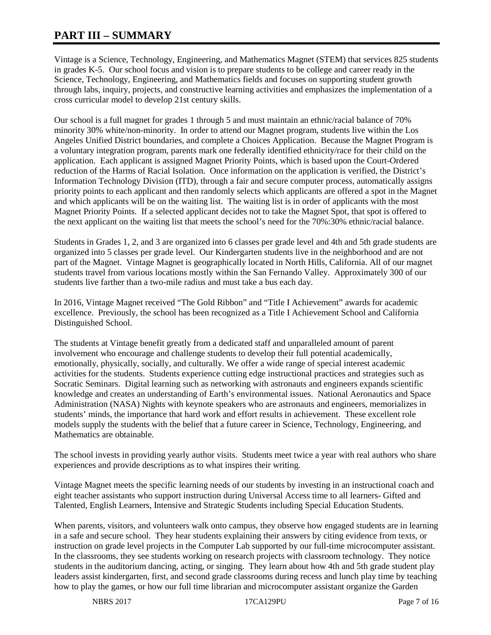# **PART III – SUMMARY**

Vintage is a Science, Technology, Engineering, and Mathematics Magnet (STEM) that services 825 students in grades K-5. Our school focus and vision is to prepare students to be college and career ready in the Science, Technology, Engineering, and Mathematics fields and focuses on supporting student growth through labs, inquiry, projects, and constructive learning activities and emphasizes the implementation of a cross curricular model to develop 21st century skills.

Our school is a full magnet for grades 1 through 5 and must maintain an ethnic/racial balance of 70% minority 30% white/non-minority. In order to attend our Magnet program, students live within the Los Angeles Unified District boundaries, and complete a Choices Application. Because the Magnet Program is a voluntary integration program, parents mark one federally identified ethnicity/race for their child on the application. Each applicant is assigned Magnet Priority Points, which is based upon the Court-Ordered reduction of the Harms of Racial Isolation. Once information on the application is verified, the District's Information Technology Division (ITD), through a fair and secure computer process, automatically assigns priority points to each applicant and then randomly selects which applicants are offered a spot in the Magnet and which applicants will be on the waiting list. The waiting list is in order of applicants with the most Magnet Priority Points. If a selected applicant decides not to take the Magnet Spot, that spot is offered to the next applicant on the waiting list that meets the school's need for the 70%:30% ethnic/racial balance.

Students in Grades 1, 2, and 3 are organized into 6 classes per grade level and 4th and 5th grade students are organized into 5 classes per grade level. Our Kindergarten students live in the neighborhood and are not part of the Magnet. Vintage Magnet is geographically located in North Hills, California. All of our magnet students travel from various locations mostly within the San Fernando Valley. Approximately 300 of our students live farther than a two-mile radius and must take a bus each day.

In 2016, Vintage Magnet received "The Gold Ribbon" and "Title I Achievement" awards for academic excellence. Previously, the school has been recognized as a Title I Achievement School and California Distinguished School.

The students at Vintage benefit greatly from a dedicated staff and unparalleled amount of parent involvement who encourage and challenge students to develop their full potential academically, emotionally, physically, socially, and culturally. We offer a wide range of special interest academic activities for the students. Students experience cutting edge instructional practices and strategies such as Socratic Seminars. Digital learning such as networking with astronauts and engineers expands scientific knowledge and creates an understanding of Earth's environmental issues. National Aeronautics and Space Administration (NASA) Nights with keynote speakers who are astronauts and engineers, memorializes in students' minds, the importance that hard work and effort results in achievement. These excellent role models supply the students with the belief that a future career in Science, Technology, Engineering, and Mathematics are obtainable.

The school invests in providing yearly author visits. Students meet twice a year with real authors who share experiences and provide descriptions as to what inspires their writing.

Vintage Magnet meets the specific learning needs of our students by investing in an instructional coach and eight teacher assistants who support instruction during Universal Access time to all learners- Gifted and Talented, English Learners, Intensive and Strategic Students including Special Education Students.

When parents, visitors, and volunteers walk onto campus, they observe how engaged students are in learning in a safe and secure school. They hear students explaining their answers by citing evidence from texts, or instruction on grade level projects in the Computer Lab supported by our full-time microcomputer assistant. In the classrooms, they see students working on research projects with classroom technology. They notice students in the auditorium dancing, acting, or singing. They learn about how 4th and 5th grade student play leaders assist kindergarten, first, and second grade classrooms during recess and lunch play time by teaching how to play the games, or how our full time librarian and microcomputer assistant organize the Garden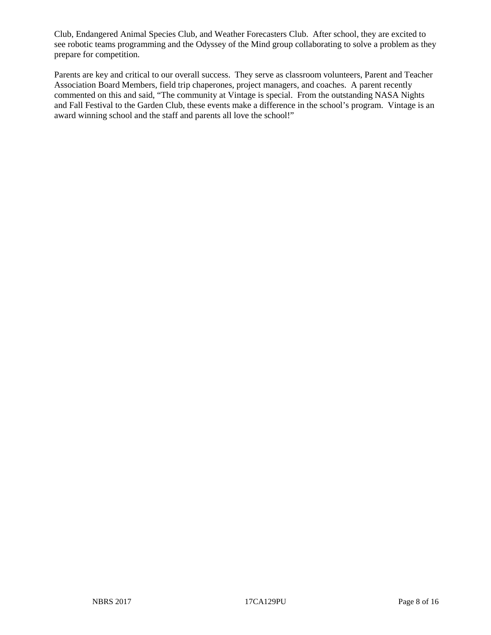Club, Endangered Animal Species Club, and Weather Forecasters Club. After school, they are excited to see robotic teams programming and the Odyssey of the Mind group collaborating to solve a problem as they prepare for competition.

Parents are key and critical to our overall success. They serve as classroom volunteers, Parent and Teacher Association Board Members, field trip chaperones, project managers, and coaches. A parent recently commented on this and said, "The community at Vintage is special. From the outstanding NASA Nights and Fall Festival to the Garden Club, these events make a difference in the school's program. Vintage is an award winning school and the staff and parents all love the school!"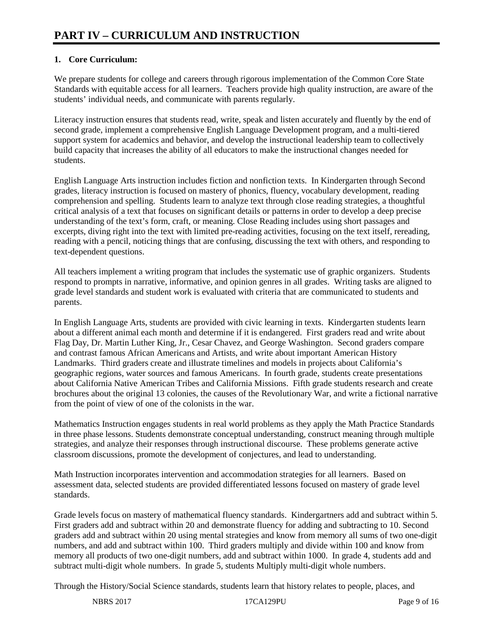# **1. Core Curriculum:**

We prepare students for college and careers through rigorous implementation of the Common Core State Standards with equitable access for all learners. Teachers provide high quality instruction, are aware of the students' individual needs, and communicate with parents regularly.

Literacy instruction ensures that students read, write, speak and listen accurately and fluently by the end of second grade, implement a comprehensive English Language Development program, and a multi-tiered support system for academics and behavior, and develop the instructional leadership team to collectively build capacity that increases the ability of all educators to make the instructional changes needed for students.

English Language Arts instruction includes fiction and nonfiction texts. In Kindergarten through Second grades, literacy instruction is focused on mastery of phonics, fluency, vocabulary development, reading comprehension and spelling. Students learn to analyze text through close reading strategies, a thoughtful critical analysis of a text that focuses on significant details or patterns in order to develop a deep precise understanding of the text's form, craft, or meaning. Close Reading includes using short passages and excerpts, diving right into the text with limited pre-reading activities, focusing on the text itself, rereading, reading with a pencil, noticing things that are confusing, discussing the text with others, and responding to text-dependent questions.

All teachers implement a writing program that includes the systematic use of graphic organizers. Students respond to prompts in narrative, informative, and opinion genres in all grades. Writing tasks are aligned to grade level standards and student work is evaluated with criteria that are communicated to students and parents.

In English Language Arts, students are provided with civic learning in texts. Kindergarten students learn about a different animal each month and determine if it is endangered. First graders read and write about Flag Day, Dr. Martin Luther King, Jr., Cesar Chavez, and George Washington. Second graders compare and contrast famous African Americans and Artists, and write about important American History Landmarks. Third graders create and illustrate timelines and models in projects about California's geographic regions, water sources and famous Americans. In fourth grade, students create presentations about California Native American Tribes and California Missions. Fifth grade students research and create brochures about the original 13 colonies, the causes of the Revolutionary War, and write a fictional narrative from the point of view of one of the colonists in the war.

Mathematics Instruction engages students in real world problems as they apply the Math Practice Standards in three phase lessons. Students demonstrate conceptual understanding, construct meaning through multiple strategies, and analyze their responses through instructional discourse. These problems generate active classroom discussions, promote the development of conjectures, and lead to understanding.

Math Instruction incorporates intervention and accommodation strategies for all learners. Based on assessment data, selected students are provided differentiated lessons focused on mastery of grade level standards.

Grade levels focus on mastery of mathematical fluency standards. Kindergartners add and subtract within 5. First graders add and subtract within 20 and demonstrate fluency for adding and subtracting to 10. Second graders add and subtract within 20 using mental strategies and know from memory all sums of two one-digit numbers, and add and subtract within 100. Third graders multiply and divide within 100 and know from memory all products of two one-digit numbers, add and subtract within 1000. In grade 4, students add and subtract multi-digit whole numbers. In grade 5, students Multiply multi-digit whole numbers.

Through the History/Social Science standards, students learn that history relates to people, places, and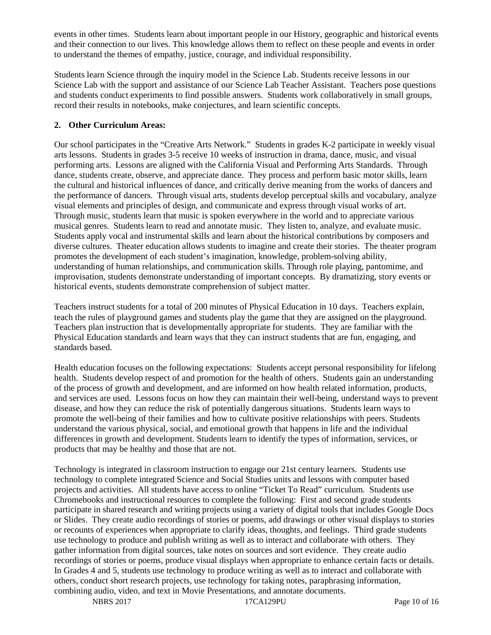events in other times. Students learn about important people in our History, geographic and historical events and their connection to our lives. This knowledge allows them to reflect on these people and events in order to understand the themes of empathy, justice, courage, and individual responsibility.

Students learn Science through the inquiry model in the Science Lab. Students receive lessons in our Science Lab with the support and assistance of our Science Lab Teacher Assistant. Teachers pose questions and students conduct experiments to find possible answers. Students work collaboratively in small groups, record their results in notebooks, make conjectures, and learn scientific concepts.

# **2. Other Curriculum Areas:**

Our school participates in the "Creative Arts Network." Students in grades K-2 participate in weekly visual arts lessons. Students in grades 3-5 receive 10 weeks of instruction in drama, dance, music, and visual performing arts. Lessons are aligned with the California Visual and Performing Arts Standards. Through dance, students create, observe, and appreciate dance. They process and perform basic motor skills, learn the cultural and historical influences of dance, and critically derive meaning from the works of dancers and the performance of dancers. Through visual arts, students develop perceptual skills and vocabulary, analyze visual elements and principles of design, and communicate and express through visual works of art. Through music, students learn that music is spoken everywhere in the world and to appreciate various musical genres. Students learn to read and annotate music. They listen to, analyze, and evaluate music. Students apply vocal and instrumental skills and learn about the historical contributions by composers and diverse cultures. Theater education allows students to imagine and create their stories. The theater program promotes the development of each student's imagination, knowledge, problem-solving ability, understanding of human relationships, and communication skills. Through role playing, pantomime, and improvisation, students demonstrate understanding of important concepts. By dramatizing, story events or historical events, students demonstrate comprehension of subject matter.

Teachers instruct students for a total of 200 minutes of Physical Education in 10 days. Teachers explain, teach the rules of playground games and students play the game that they are assigned on the playground. Teachers plan instruction that is developmentally appropriate for students. They are familiar with the Physical Education standards and learn ways that they can instruct students that are fun, engaging, and standards based.

Health education focuses on the following expectations: Students accept personal responsibility for lifelong health. Students develop respect of and promotion for the health of others. Students gain an understanding of the process of growth and development, and are informed on how health related information, products, and services are used. Lessons focus on how they can maintain their well-being, understand ways to prevent disease, and how they can reduce the risk of potentially dangerous situations. Students learn ways to promote the well-being of their families and how to cultivate positive relationships with peers. Students understand the various physical, social, and emotional growth that happens in life and the individual differences in growth and development. Students learn to identify the types of information, services, or products that may be healthy and those that are not.

Technology is integrated in classroom instruction to engage our 21st century learners. Students use technology to complete integrated Science and Social Studies units and lessons with computer based projects and activities. All students have access to online "Ticket To Read" curriculum. Students use Chromebooks and instructional resources to complete the following: First and second grade students participate in shared research and writing projects using a variety of digital tools that includes Google Docs or Slides. They create audio recordings of stories or poems, add drawings or other visual displays to stories or recounts of experiences when appropriate to clarify ideas, thoughts, and feelings. Third grade students use technology to produce and publish writing as well as to interact and collaborate with others. They gather information from digital sources, take notes on sources and sort evidence. They create audio recordings of stories or poems, produce visual displays when appropriate to enhance certain facts or details. In Grades 4 and 5, students use technology to produce writing as well as to interact and collaborate with others, conduct short research projects, use technology for taking notes, paraphrasing information, combining audio, video, and text in Movie Presentations, and annotate documents.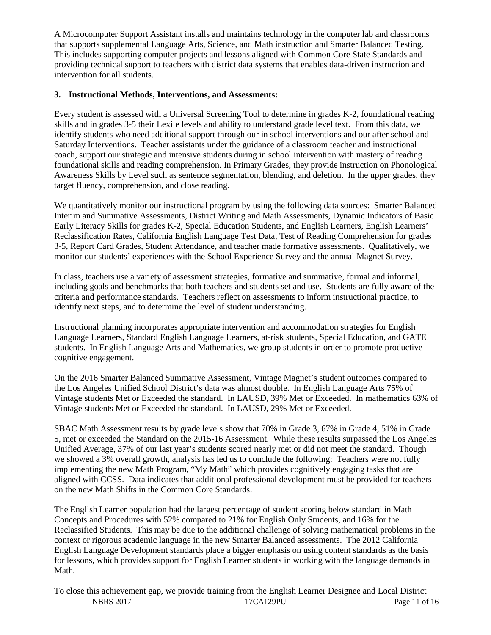A Microcomputer Support Assistant installs and maintains technology in the computer lab and classrooms that supports supplemental Language Arts, Science, and Math instruction and Smarter Balanced Testing. This includes supporting computer projects and lessons aligned with Common Core State Standards and providing technical support to teachers with district data systems that enables data-driven instruction and intervention for all students.

## **3. Instructional Methods, Interventions, and Assessments:**

Every student is assessed with a Universal Screening Tool to determine in grades K-2, foundational reading skills and in grades 3-5 their Lexile levels and ability to understand grade level text. From this data, we identify students who need additional support through our in school interventions and our after school and Saturday Interventions. Teacher assistants under the guidance of a classroom teacher and instructional coach, support our strategic and intensive students during in school intervention with mastery of reading foundational skills and reading comprehension. In Primary Grades, they provide instruction on Phonological Awareness Skills by Level such as sentence segmentation, blending, and deletion. In the upper grades, they target fluency, comprehension, and close reading.

We quantitatively monitor our instructional program by using the following data sources: Smarter Balanced Interim and Summative Assessments, District Writing and Math Assessments, Dynamic Indicators of Basic Early Literacy Skills for grades K-2, Special Education Students, and English Learners, English Learners' Reclassification Rates, California English Language Test Data, Test of Reading Comprehension for grades 3-5, Report Card Grades, Student Attendance, and teacher made formative assessments. Qualitatively, we monitor our students' experiences with the School Experience Survey and the annual Magnet Survey.

In class, teachers use a variety of assessment strategies, formative and summative, formal and informal, including goals and benchmarks that both teachers and students set and use. Students are fully aware of the criteria and performance standards. Teachers reflect on assessments to inform instructional practice, to identify next steps, and to determine the level of student understanding.

Instructional planning incorporates appropriate intervention and accommodation strategies for English Language Learners, Standard English Language Learners, at-risk students, Special Education, and GATE students. In English Language Arts and Mathematics, we group students in order to promote productive cognitive engagement.

On the 2016 Smarter Balanced Summative Assessment, Vintage Magnet's student outcomes compared to the Los Angeles Unified School District's data was almost double. In English Language Arts 75% of Vintage students Met or Exceeded the standard. In LAUSD, 39% Met or Exceeded. In mathematics 63% of Vintage students Met or Exceeded the standard. In LAUSD, 29% Met or Exceeded.

SBAC Math Assessment results by grade levels show that 70% in Grade 3, 67% in Grade 4, 51% in Grade 5, met or exceeded the Standard on the 2015-16 Assessment. While these results surpassed the Los Angeles Unified Average, 37% of our last year's students scored nearly met or did not meet the standard. Though we showed a 3% overall growth, analysis has led us to conclude the following: Teachers were not fully implementing the new Math Program, "My Math" which provides cognitively engaging tasks that are aligned with CCSS. Data indicates that additional professional development must be provided for teachers on the new Math Shifts in the Common Core Standards.

The English Learner population had the largest percentage of student scoring below standard in Math Concepts and Procedures with 52% compared to 21% for English Only Students, and 16% for the Reclassified Students. This may be due to the additional challenge of solving mathematical problems in the context or rigorous academic language in the new Smarter Balanced assessments. The 2012 California English Language Development standards place a bigger emphasis on using content standards as the basis for lessons, which provides support for English Learner students in working with the language demands in Math.

NBRS 2017 17CA129PU Page 11 of 16 To close this achievement gap, we provide training from the English Learner Designee and Local District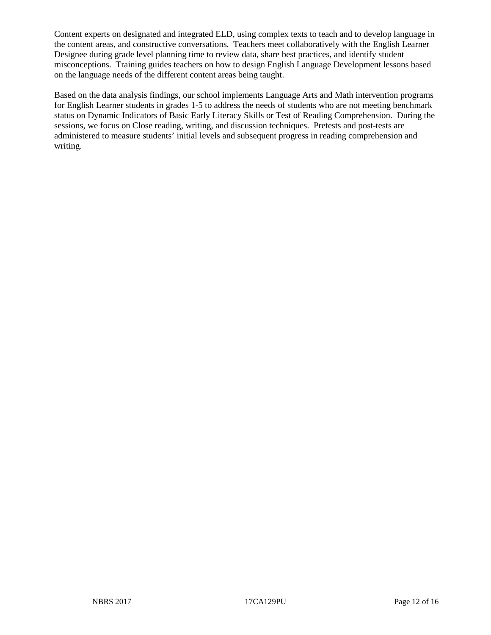Content experts on designated and integrated ELD, using complex texts to teach and to develop language in the content areas, and constructive conversations. Teachers meet collaboratively with the English Learner Designee during grade level planning time to review data, share best practices, and identify student misconceptions. Training guides teachers on how to design English Language Development lessons based on the language needs of the different content areas being taught.

Based on the data analysis findings, our school implements Language Arts and Math intervention programs for English Learner students in grades 1-5 to address the needs of students who are not meeting benchmark status on Dynamic Indicators of Basic Early Literacy Skills or Test of Reading Comprehension. During the sessions, we focus on Close reading, writing, and discussion techniques. Pretests and post-tests are administered to measure students' initial levels and subsequent progress in reading comprehension and writing.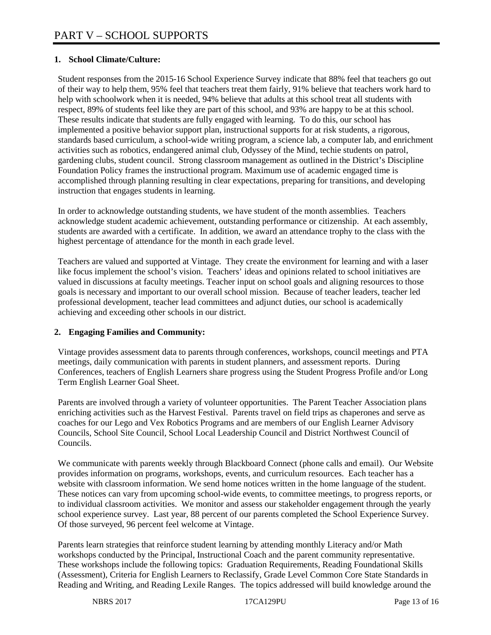## **1. School Climate/Culture:**

Student responses from the 2015-16 School Experience Survey indicate that 88% feel that teachers go out of their way to help them, 95% feel that teachers treat them fairly, 91% believe that teachers work hard to help with schoolwork when it is needed, 94% believe that adults at this school treat all students with respect, 89% of students feel like they are part of this school, and 93% are happy to be at this school. These results indicate that students are fully engaged with learning. To do this, our school has implemented a positive behavior support plan, instructional supports for at risk students, a rigorous, standards based curriculum, a school-wide writing program, a science lab, a computer lab, and enrichment activities such as robotics, endangered animal club, Odyssey of the Mind, techie students on patrol, gardening clubs, student council. Strong classroom management as outlined in the District's Discipline Foundation Policy frames the instructional program. Maximum use of academic engaged time is accomplished through planning resulting in clear expectations, preparing for transitions, and developing instruction that engages students in learning.

In order to acknowledge outstanding students, we have student of the month assemblies. Teachers acknowledge student academic achievement, outstanding performance or citizenship. At each assembly, students are awarded with a certificate. In addition, we award an attendance trophy to the class with the highest percentage of attendance for the month in each grade level.

Teachers are valued and supported at Vintage. They create the environment for learning and with a laser like focus implement the school's vision. Teachers' ideas and opinions related to school initiatives are valued in discussions at faculty meetings. Teacher input on school goals and aligning resources to those goals is necessary and important to our overall school mission. Because of teacher leaders, teacher led professional development, teacher lead committees and adjunct duties, our school is academically achieving and exceeding other schools in our district.

#### **2. Engaging Families and Community:**

Vintage provides assessment data to parents through conferences, workshops, council meetings and PTA meetings, daily communication with parents in student planners, and assessment reports. During Conferences, teachers of English Learners share progress using the Student Progress Profile and/or Long Term English Learner Goal Sheet.

Parents are involved through a variety of volunteer opportunities. The Parent Teacher Association plans enriching activities such as the Harvest Festival. Parents travel on field trips as chaperones and serve as coaches for our Lego and Vex Robotics Programs and are members of our English Learner Advisory Councils, School Site Council, School Local Leadership Council and District Northwest Council of Councils.

We communicate with parents weekly through Blackboard Connect (phone calls and email). Our Website provides information on programs, workshops, events, and curriculum resources. Each teacher has a website with classroom information. We send home notices written in the home language of the student. These notices can vary from upcoming school-wide events, to committee meetings, to progress reports, or to individual classroom activities. We monitor and assess our stakeholder engagement through the yearly school experience survey. Last year, 88 percent of our parents completed the School Experience Survey. Of those surveyed, 96 percent feel welcome at Vintage.

Parents learn strategies that reinforce student learning by attending monthly Literacy and/or Math workshops conducted by the Principal, Instructional Coach and the parent community representative. These workshops include the following topics: Graduation Requirements, Reading Foundational Skills (Assessment), Criteria for English Learners to Reclassify, Grade Level Common Core State Standards in Reading and Writing, and Reading Lexile Ranges. The topics addressed will build knowledge around the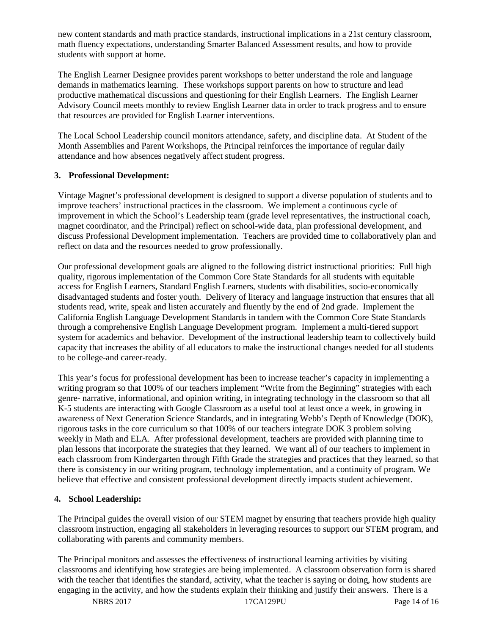new content standards and math practice standards, instructional implications in a 21st century classroom, math fluency expectations, understanding Smarter Balanced Assessment results, and how to provide students with support at home.

The English Learner Designee provides parent workshops to better understand the role and language demands in mathematics learning. These workshops support parents on how to structure and lead productive mathematical discussions and questioning for their English Learners. The English Learner Advisory Council meets monthly to review English Learner data in order to track progress and to ensure that resources are provided for English Learner interventions.

The Local School Leadership council monitors attendance, safety, and discipline data. At Student of the Month Assemblies and Parent Workshops, the Principal reinforces the importance of regular daily attendance and how absences negatively affect student progress.

### **3. Professional Development:**

Vintage Magnet's professional development is designed to support a diverse population of students and to improve teachers' instructional practices in the classroom. We implement a continuous cycle of improvement in which the School's Leadership team (grade level representatives, the instructional coach, magnet coordinator, and the Principal) reflect on school-wide data, plan professional development, and discuss Professional Development implementation. Teachers are provided time to collaboratively plan and reflect on data and the resources needed to grow professionally.

Our professional development goals are aligned to the following district instructional priorities: Full high quality, rigorous implementation of the Common Core State Standards for all students with equitable access for English Learners, Standard English Learners, students with disabilities, socio-economically disadvantaged students and foster youth. Delivery of literacy and language instruction that ensures that all students read, write, speak and listen accurately and fluently by the end of 2nd grade. Implement the California English Language Development Standards in tandem with the Common Core State Standards through a comprehensive English Language Development program. Implement a multi-tiered support system for academics and behavior. Development of the instructional leadership team to collectively build capacity that increases the ability of all educators to make the instructional changes needed for all students to be college-and career-ready.

This year's focus for professional development has been to increase teacher's capacity in implementing a writing program so that 100% of our teachers implement "Write from the Beginning" strategies with each genre- narrative, informational, and opinion writing, in integrating technology in the classroom so that all K-5 students are interacting with Google Classroom as a useful tool at least once a week, in growing in awareness of Next Generation Science Standards, and in integrating Webb's Depth of Knowledge (DOK), rigorous tasks in the core curriculum so that 100% of our teachers integrate DOK 3 problem solving weekly in Math and ELA. After professional development, teachers are provided with planning time to plan lessons that incorporate the strategies that they learned. We want all of our teachers to implement in each classroom from Kindergarten through Fifth Grade the strategies and practices that they learned, so that there is consistency in our writing program, technology implementation, and a continuity of program. We believe that effective and consistent professional development directly impacts student achievement.

# **4. School Leadership:**

The Principal guides the overall vision of our STEM magnet by ensuring that teachers provide high quality classroom instruction, engaging all stakeholders in leveraging resources to support our STEM program, and collaborating with parents and community members.

The Principal monitors and assesses the effectiveness of instructional learning activities by visiting classrooms and identifying how strategies are being implemented. A classroom observation form is shared with the teacher that identifies the standard, activity, what the teacher is saying or doing, how students are engaging in the activity, and how the students explain their thinking and justify their answers. There is a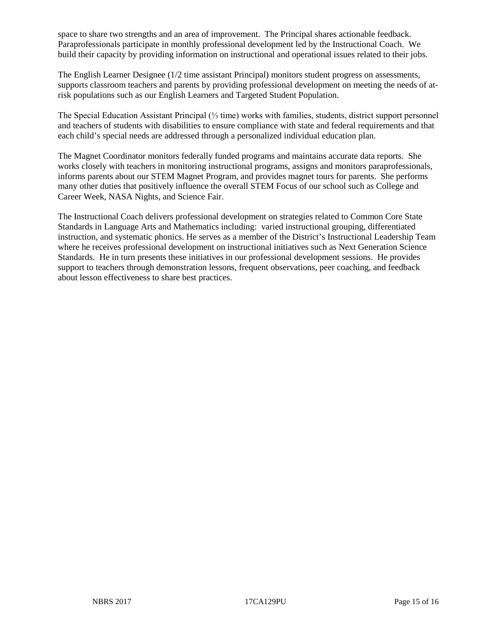space to share two strengths and an area of improvement. The Principal shares actionable feedback. Paraprofessionals participate in monthly professional development led by the Instructional Coach. We build their capacity by providing information on instructional and operational issues related to their jobs.

The English Learner Designee (1/2 time assistant Principal) monitors student progress on assessments, supports classroom teachers and parents by providing professional development on meeting the needs of atrisk populations such as our English Learners and Targeted Student Population.

The Special Education Assistant Principal (⅓ time) works with families, students, district support personnel and teachers of students with disabilities to ensure compliance with state and federal requirements and that each child's special needs are addressed through a personalized individual education plan.

The Magnet Coordinator monitors federally funded programs and maintains accurate data reports. She works closely with teachers in monitoring instructional programs, assigns and monitors paraprofessionals, informs parents about our STEM Magnet Program, and provides magnet tours for parents. She performs many other duties that positively influence the overall STEM Focus of our school such as College and Career Week, NASA Nights, and Science Fair.

The Instructional Coach delivers professional development on strategies related to Common Core State Standards in Language Arts and Mathematics including: varied instructional grouping, differentiated instruction, and systematic phonics. He serves as a member of the District's Instructional Leadership Team where he receives professional development on instructional initiatives such as Next Generation Science Standards. He in turn presents these initiatives in our professional development sessions. He provides support to teachers through demonstration lessons, frequent observations, peer coaching, and feedback about lesson effectiveness to share best practices.